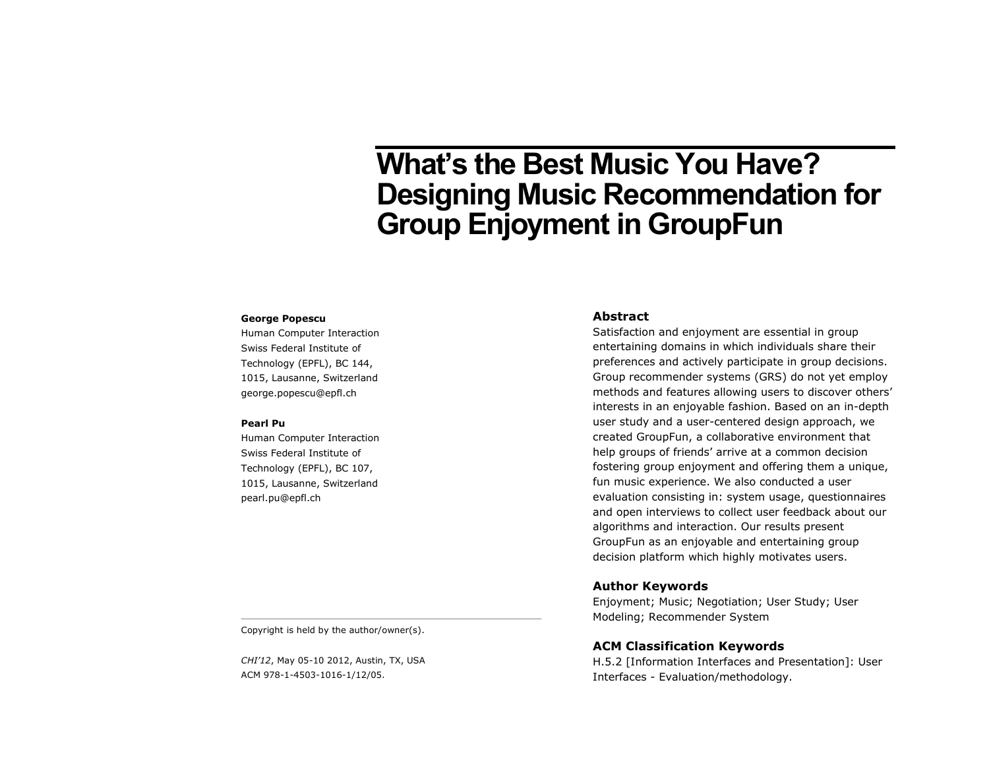# **What's the Best Music You Have? Designing Music Recommendation for Group Enjoyment in GroupFun**

#### **George Popescu**

Human Computer Interaction Swiss Federal Institute of Technology (EPFL), BC 144, 1015, Lausanne, Switzerland george.popescu@epfl.ch

#### **Pearl Pu**

Human Computer Interaction Swiss Federal Institute of Technology (EPFL), BC 107, 1015, Lausanne, Switzerland pearl.pu@epfl.ch

## **Abstract**

Satisfaction and enjoyment are essential in group entertaining domains in which individuals share their preferences and actively participate in group decisions. Group recommender systems (GRS) do not yet employ methods and features allowing users to discover others' interests in an enjoyable fashion. Based on an in-depth user study and a user-centered design approach, we created GroupFun, a collaborative environment that help groups of friends' arrive at a common decision fostering group enjoyment and offering them a unique, fun music experience. We also conducted a user evaluation consisting in: system usage, questionnaires and open interviews to collect user feedback about our algorithms and interaction. Our results present GroupFun as an enjoyable and entertaining group decision platform which highly motivates users.

## **Author Keywords**

Enjoyment; Music; Negotiation; User Study; User Modeling; Recommender System

## **ACM Classification Keywords**

H.5.2 [Information Interfaces and Presentation]: User Interfaces - Evaluation/methodology.

Copyright is held by the author/owner(s).

*CHI'12*, May 05-10 2012, Austin, TX, USA ACM 978-1-4503-1016-1/12/05.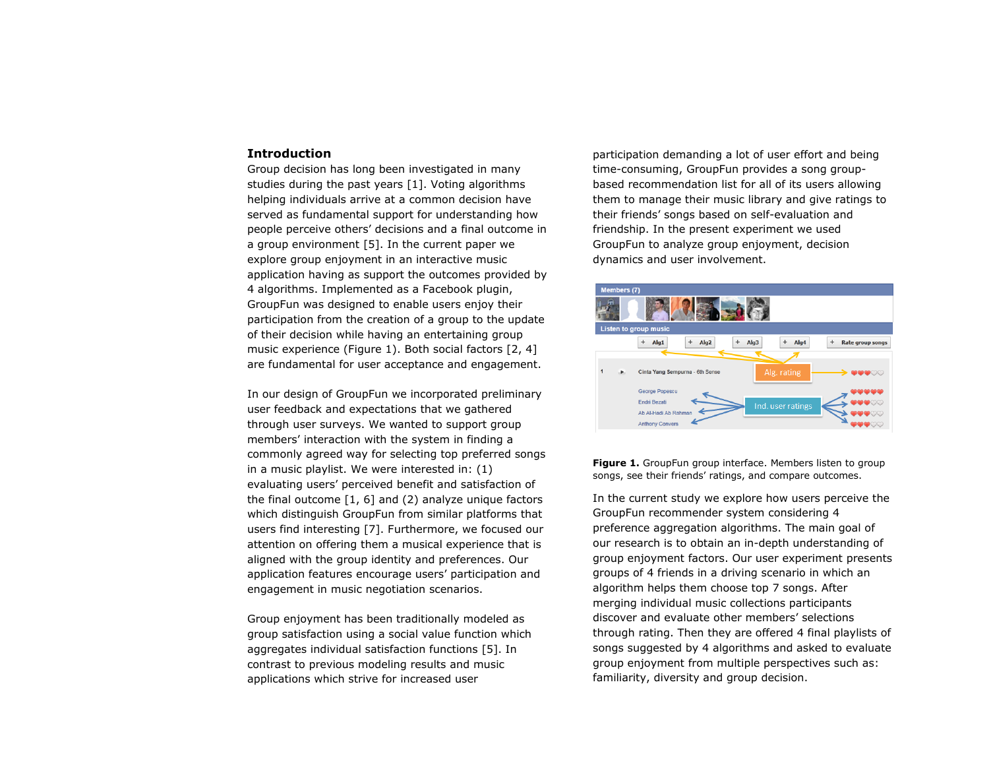#### **Introduction**

Group decision has long been investigated in many studies during the past years [1]. Voting algorithms helping individuals arrive at a common decision have served as fundamental support for understanding how people perceive others' decisions and a final outcome in a group environment [5]. In the current paper we explore group enjoyment in an interactive music application having as support the outcomes provided by 4 algorithms. Implemented as a Facebook plugin, GroupFun was designed to enable users enjoy their participation from the creation of a group to the update of their decision while having an entertaining group music experience (Figure 1). Both social factors [2, 4] are fundamental for user acceptance and engagement.

In our design of GroupFun we incorporated preliminary user feedback and expectations that we gathered through user surveys. We wanted to support group members' interaction with the system in finding a commonly agreed way for selecting top preferred songs in a music playlist. We were interested in: (1) evaluating users' perceived benefit and satisfaction of the final outcome  $[1, 6]$  and  $(2)$  analyze unique factors which distinguish GroupFun from similar platforms that users find interesting [7]. Furthermore, we focused our attention on offering them a musical experience that is aligned with the group identity and preferences. Our application features encourage users' participation and engagement in music negotiation scenarios.

Group enjoyment has been traditionally modeled as group satisfaction using a social value function which aggregates individual satisfaction functions [5]. In contrast to previous modeling results and music applications which strive for increased user

participation demanding a lot of user effort and being time-consuming, GroupFun provides a song groupbased recommendation list for all of its users allowing them to manage their music library and give ratings to their friends' songs based on self-evaluation and friendship. In the present experiment we used GroupFun to analyze group enjoyment, decision dynamics and user involvement.



Figure 1. GroupFun group interface. Members listen to group songs, see their friends' ratings, and compare outcomes.

In the current study we explore how users perceive the GroupFun recommender system considering 4 preference aggregation algorithms. The main goal of our research is to obtain an in-depth understanding of group enjoyment factors. Our user experiment presents groups of 4 friends in a driving scenario in which an algorithm helps them choose top 7 songs. After merging individual music collections participants discover and evaluate other members' selections through rating. Then they are offered 4 final playlists of songs suggested by 4 algorithms and asked to evaluate group enjoyment from multiple perspectives such as: familiarity, diversity and group decision.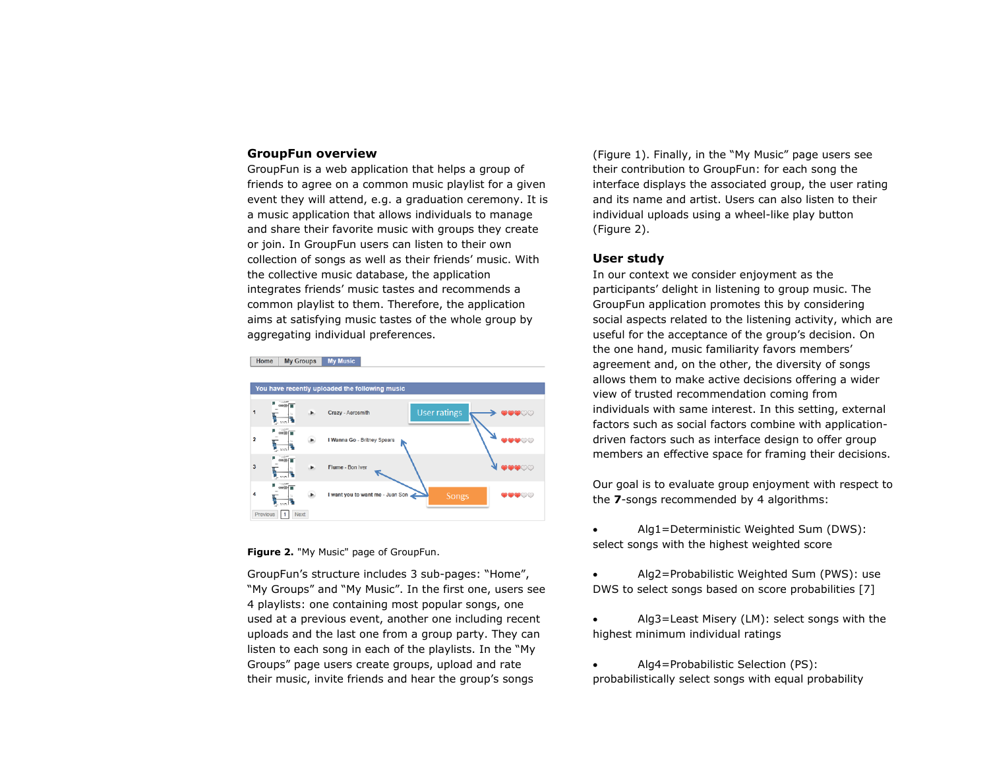### **GroupFun overview**

GroupFun is a web application that helps a group of friends to agree on a common music playlist for a given event they will attend, e.g. a graduation ceremony. It is a music application that allows individuals to manage and share their favorite music with groups they create or join. In GroupFun users can listen to their own collection of songs as well as their friends' music. With the collective music database, the application integrates friends' music tastes and recommends a common playlist to them. Therefore, the application aims at satisfying music tastes of the whole group by aggregating individual preferences.



**Figure 2.** "My Music" page of GroupFun.

GroupFun's structure includes 3 sub-pages: "Home", "My Groups" and "My Music". In the first one, users see 4 playlists: one containing most popular songs, one used at a previous event, another one including recent uploads and the last one from a group party. They can listen to each song in each of the playlists. In the "My Groups" page users create groups, upload and rate their music, invite friends and hear the group's songs

(Figure 1). Finally, in the "My Music" page users see their contribution to GroupFun: for each song the interface displays the associated group, the user rating and its name and artist. Users can also listen to their individual uploads using a wheel-like play button (Figure 2).

# **User study**

In our context we consider enjoyment as the participants' delight in listening to group music. The GroupFun application promotes this by considering social aspects related to the listening activity, which are useful for the acceptance of the group's decision. On the one hand, music familiarity favors members' agreement and, on the other, the diversity of songs allows them to make active decisions offering a wider view of trusted recommendation coming from individuals with same interest. In this setting, external factors such as social factors combine with applicationdriven factors such as interface design to offer group members an effective space for framing their decisions.

Our goal is to evaluate group enjoyment with respect to the **7**-songs recommended by 4 algorithms:

 Alg1=Deterministic Weighted Sum (DWS): select songs with the highest weighted score

 Alg2=Probabilistic Weighted Sum (PWS): use DWS to select songs based on score probabilities [7]

 Alg3=Least Misery (LM): select songs with the highest minimum individual ratings

 Alg4=Probabilistic Selection (PS): probabilistically select songs with equal probability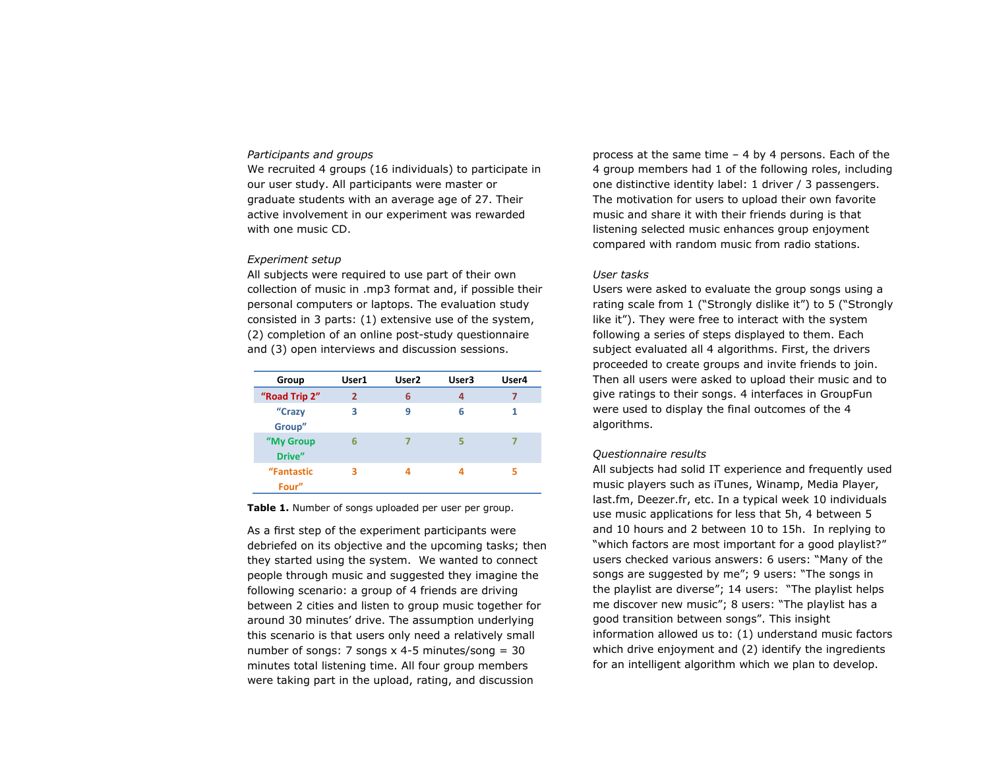## *Participants and groups*

We recruited 4 groups (16 individuals) to participate in our user study. All participants were master or graduate students with an average age of 27. Their active involvement in our experiment was rewarded with one music CD.

#### *Experiment setup*

All subjects were required to use part of their own collection of music in .mp3 format and, if possible their personal computers or laptops. The evaluation study consisted in 3 parts: (1) extensive use of the system, (2) completion of an online post-study questionnaire and (3) open interviews and discussion sessions.

| Group               | User1          | User <sub>2</sub> | User3 | User4 |
|---------------------|----------------|-------------------|-------|-------|
| "Road Trip 2"       | $\overline{2}$ | 6                 | 4     | 7     |
| "Crazy<br>Group"    | 3              | 9                 | 6     | 1     |
| "My Group<br>Drive" | 6              | 7                 | 5     |       |
| "Fantastic<br>Four" | з              | л                 | Δ     |       |

**Table 1.** Number of songs uploaded per user per group.

As a first step of the experiment participants were debriefed on its objective and the upcoming tasks; then they started using the system. We wanted to connect people through music and suggested they imagine the following scenario: a group of 4 friends are driving between 2 cities and listen to group music together for around 30 minutes' drive. The assumption underlying this scenario is that users only need a relatively small number of songs: 7 songs  $x$  4-5 minutes/song = 30 minutes total listening time. All four group members were taking part in the upload, rating, and discussion

process at the same time – 4 by 4 persons. Each of the 4 group members had 1 of the following roles, including one distinctive identity label: 1 driver / 3 passengers. The motivation for users to upload their own favorite music and share it with their friends during is that listening selected music enhances group enjoyment compared with random music from radio stations.

## *User tasks*

Users were asked to evaluate the group songs using a rating scale from 1 ("Strongly dislike it") to 5 ("Strongly like it"). They were free to interact with the system following a series of steps displayed to them. Each subject evaluated all 4 algorithms. First, the drivers proceeded to create groups and invite friends to join. Then all users were asked to upload their music and to give ratings to their songs. 4 interfaces in GroupFun were used to display the final outcomes of the 4 algorithms.

#### *Questionnaire results*

All subjects had solid IT experience and frequently used music players such as iTunes, Winamp, Media Player, last.fm, Deezer.fr, etc. In a typical week 10 individuals use music applications for less that 5h, 4 between 5 and 10 hours and 2 between 10 to 15h. In replying to "which factors are most important for a good playlist?" users checked various answers: 6 users: "Many of the songs are suggested by me"; 9 users: "The songs in the playlist are diverse"; 14 users: "The playlist helps me discover new music"; 8 users: "The playlist has a good transition between songs". This insight information allowed us to: (1) understand music factors which drive enjoyment and (2) identify the ingredients for an intelligent algorithm which we plan to develop.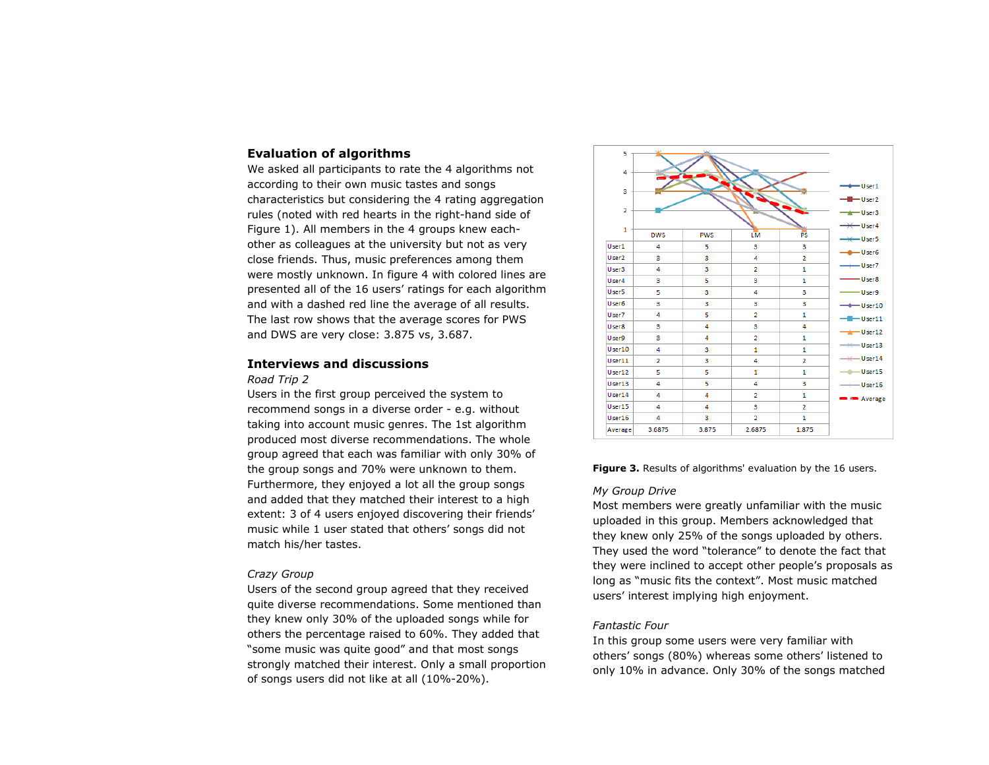## **Evaluation of algorithms**

We asked all participants to rate the 4 algorithms not according to their own music tastes and songs characteristics but considering the 4 rating aggregation rules (noted with red hearts in the right-hand side of Figure 1). All members in the 4 groups knew eachother as colleagues at the university but not as very close friends. Thus, music preferences among them were mostly unknown. In figure 4 with colored lines are presented all of the 16 users' ratings for each algorithm and with a dashed red line the average of all results. The last row shows that the average scores for PWS and DWS are very close: 3.875 vs, 3.687.

# **Interviews and discussions**

#### *Road Trip 2*

Users in the first group perceived the system to recommend songs in a diverse order - e.g. without taking into account music genres. The 1st algorithm produced most diverse recommendations. The whole group agreed that each was familiar with only 30% of the group songs and 70% were unknown to them. Furthermore, they enjoyed a lot all the group songs and added that they matched their interest to a high extent: 3 of 4 users enjoyed discovering their friends' music while 1 user stated that others' songs did not match his/her tastes.

### *Crazy Group*

Users of the second group agreed that they received quite diverse recommendations. Some mentioned than they knew only 30% of the uploaded songs while for others the percentage raised to 60%. They added that "some music was quite good" and that most songs strongly matched their interest. Only a small proportion of songs users did not like at all (10%-20%).



**Figure 3.** Results of algorithms' evaluation by the 16 users.

#### *My Group Drive*

Most members were greatly unfamiliar with the music uploaded in this group. Members acknowledged that they knew only 25% of the songs uploaded by others. They used the word "tolerance" to denote the fact that they were inclined to accept other people's proposals as long as "music fits the context". Most music matched users' interest implying high enjoyment.

#### *Fantastic Four*

In this group some users were very familiar with others' songs (80%) whereas some others' listened to only 10% in advance. Only 30% of the songs matched